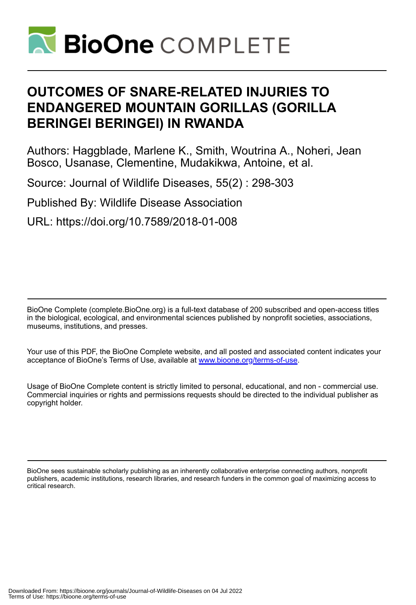

# **OUTCOMES OF SNARE-RELATED INJURIES TO ENDANGERED MOUNTAIN GORILLAS (GORILLA BERINGEI BERINGEI) IN RWANDA**

Authors: Haggblade, Marlene K., Smith, Woutrina A., Noheri, Jean Bosco, Usanase, Clementine, Mudakikwa, Antoine, et al.

Source: Journal of Wildlife Diseases, 55(2) : 298-303

Published By: Wildlife Disease Association

URL: https://doi.org/10.7589/2018-01-008

BioOne Complete (complete.BioOne.org) is a full-text database of 200 subscribed and open-access titles in the biological, ecological, and environmental sciences published by nonprofit societies, associations, museums, institutions, and presses.

Your use of this PDF, the BioOne Complete website, and all posted and associated content indicates your acceptance of BioOne's Terms of Use, available at www.bioone.org/terms-of-use.

Usage of BioOne Complete content is strictly limited to personal, educational, and non - commercial use. Commercial inquiries or rights and permissions requests should be directed to the individual publisher as copyright holder.

BioOne sees sustainable scholarly publishing as an inherently collaborative enterprise connecting authors, nonprofit publishers, academic institutions, research libraries, and research funders in the common goal of maximizing access to critical research.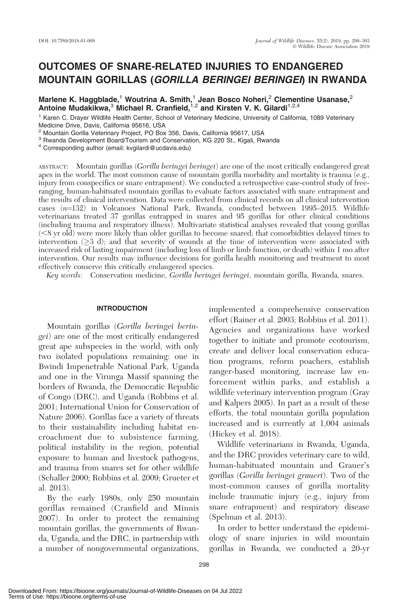# OUTCOMES OF SNARE-RELATED INJURIES TO ENDANGERED MOUNTAIN GORILLAS (GORILLA BERINGEI BERINGEI) IN RWANDA

Marlene K. Haggblade,<sup>1</sup> Woutrina A. Smith,<sup>1</sup> Jean Bosco Noheri,<sup>2</sup> Clementine Usanase,<sup>2</sup> Mariene R. Haggblade, Woddfind R. Shiftiff, Jean Bosco Rolleri, Clement Antoine Mudakikwa,<sup>3</sup> Michael R. Cranfield,<sup>1,2</sup> and Kirsten V. K. Gilardi<sup>1,2,4</sup>

<sup>1</sup> Karen C. Drayer Wildlife Health Center, School of Veterinary Medicine, University of California, 1089 Veterinary Medicine Drive, Davis, California 95616, USA

<sup>2</sup> Mountain Gorilla Veterinary Project, PO Box 356, Davis, California 95617, USA

<sup>3</sup> Rwanda Development Board/Tourism and Conservation, KG 220 St., Kigali, Rwanda

<sup>4</sup> Corresponding author (email: kvgilardi@ucdavis.edu)

ABSTRACT: Mountain gorillas (Gorilla beringei beringei) are one of the most critically endangered great apes in the world. The most common cause of mountain gorilla morbidity and mortality is trauma (e.g., injury from conspecifics or snare entrapment). We conducted a retrospective case-control study of freeranging, human-habituated mountain gorillas to evaluate factors associated with snare entrapment and the results of clinical intervention. Data were collected from clinical records on all clinical intervention cases (n=132) in Volcanoes National Park, Rwanda, conducted between 1995–2015. Wildlife veterinarians treated 37 gorillas entrapped in snares and 95 gorillas for other clinical conditions (including trauma and respiratory illness). Multivariate statistical analyses revealed that young gorillas  $(<$ 8 yr old) were more likely than older gorillas to become snared; that comorbidities delayed times to intervention ( $\geq$ 3 d); and that severity of wounds at the time of intervention were associated with increased risk of lasting impairment (including loss of limb or limb function, or death) within 1 mo after intervention. Our results may influence decisions for gorilla health monitoring and treatment to most effectively conserve this critically endangered species.

Key words: Conservation medicine, Gorilla beringei beringei, mountain gorilla, Rwanda, snares.

### INTRODUCTION

Mountain gorillas (Gorilla beringei beringei) are one of the most critically endangered great ape subspecies in the world, with only two isolated populations remaining: one in Bwindi Impenetrable National Park, Uganda and one in the Virunga Massif spanning the borders of Rwanda, the Democratic Republic of Congo (DRC), and Uganda (Robbins et al. 2001; International Union for Conservation of Nature 2006). Gorillas face a variety of threats to their sustainability including habitat encroachment due to subsistence farming, political instability in the region, potential exposure to human and livestock pathogens, and trauma from snares set for other wildlife (Schaller 2000; Robbins et al. 2009; Grueter et al. 2013).

By the early 1980s, only 250 mountain gorillas remained (Cranfield and Minnis 2007). In order to protect the remaining mountain gorillas, the governments of Rwanda, Uganda, and the DRC, in partnership with a number of nongovernmental organizations, implemented a comprehensive conservation effort (Rainer et al. 2003; Robbins et al. 2011). Agencies and organizations have worked together to initiate and promote ecotourism, create and deliver local conservation education programs, reform poachers, establish ranger-based monitoring, increase law enforcement within parks, and establish a wildlife veterinary intervention program (Gray and Kalpers 2005). In part as a result of these efforts, the total mountain gorilla population increased and is currently at 1,004 animals (Hickey et al. 2018).

Wildlife veterinarians in Rwanda, Uganda, and the DRC provides veterinary care to wild, human-habituated mountain and Grauer's gorillas (Gorilla beringei graueri). Two of the most-common causes of gorilla mortality include traumatic injury (e.g., injury from snare entrapment) and respiratory disease (Spelman et al. 2013).

In order to better understand the epidemiology of snare injuries in wild mountain gorillas in Rwanda, we conducted a 20-yr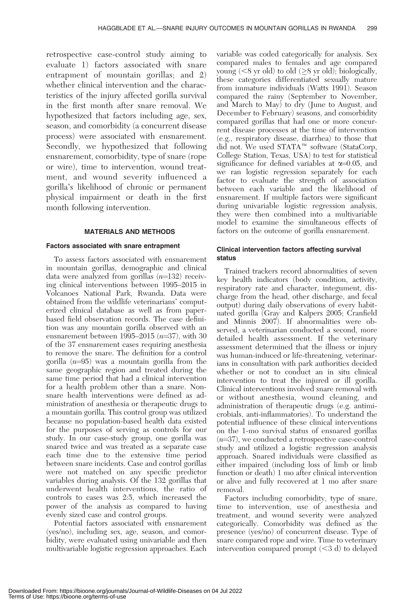retrospective case-control study aiming to evaluate 1) factors associated with snare entrapment of mountain gorillas; and 2) whether clinical intervention and the characteristics of the injury affected gorilla survival in the first month after snare removal. We hypothesized that factors including age, sex, season, and comorbidity (a concurrent disease process) were associated with ensnarement. Secondly, we hypothesized that following ensnarement, comorbidity, type of snare (rope or wire), time to intervention, wound treatment, and wound severity influenced a gorilla's likelihood of chronic or permanent physical impairment or death in the first month following intervention.

# MATERIALS AND METHODS

# Factors associated with snare entrapment

To assess factors associated with ensnarement in mountain gorillas, demographic and clinical data were analyzed from gorillas  $(n=132)$  receiving clinical interventions between 1995–2015 in Volcanoes National Park, Rwanda. Data were obtained from the wildlife veterinarians' computerized clinical database as well as from paperbased field observation records. The case definition was any mountain gorilla observed with an ensnarement between 1995–2015  $(n=37)$ , with 30 of the 37 ensnarement cases requiring anesthesia to remove the snare. The definition for a control gorilla  $(n=95)$  was a mountain gorilla from the same geographic region and treated during the same time period that had a clinical intervention for a health problem other than a snare. Nonsnare health interventions were defined as administration of anesthesia or therapeutic drugs to a mountain gorilla. This control group was utilized because no population-based health data existed for the purposes of serving as controls for our study. In our case-study group, one gorilla was snared twice and was treated as a separate case each time due to the extensive time period between snare incidents. Case and control gorillas were not matched on any specific predictor variables during analysis. Of the 132 gorillas that underwent health interventions, the ratio of controls to cases was 2:5, which increased the power of the analysis as compared to having evenly sized case and control groups.

Potential factors associated with ensnarement (yes/no), including sex, age, season, and comorbidity, were evaluated using univariable and then multivariable logistic regression approaches. Each

variable was coded categorically for analysis. Sex compared males to females and age compared young  $(< 8$  yr old) to old  $(\geq 8$  yr old); biologically, these categories differentiated sexually mature from immature individuals (Watts 1991). Season compared the rainy (September to November, and March to May) to dry (June to August, and December to February) seasons, and comorbidity compared gorillas that had one or more concurrent disease processes at the time of intervention (e.g., respiratory disease, diarrhea) to those that did not. We used STATA<sup>™</sup> software (StataCorp, College Station, Texas, USA) to test for statistical significance for defined variables at  $\alpha$ =0.05, and we ran logistic regression separately for each factor to evaluate the strength of association between each variable and the likelihood of ensnarement. If multiple factors were significant during univariable logistic regression analysis, they were then combined into a multivariable model to examine the simultaneous effects of factors on the outcome of gorilla ensnarement.

# Clinical intervention factors affecting survival status

Trained trackers record abnormalities of seven key health indicators (body condition, activity, respiratory rate and character, integument, discharge from the head, other discharge, and fecal output) during daily observations of every habituated gorilla (Gray and Kalpers 2005; Cranfield and Minnis 2007). If abnormalities were observed, a veterinarian conducted a second, more detailed health assessment. If the veterinary assessment determined that the illness or injury was human-induced or life-threatening, veterinarians in consultation with park authorities decided whether or not to conduct an in situ clinical intervention to treat the injured or ill gorilla. Clinical interventions involved snare removal with or without anesthesia, wound cleaning, and administration of therapeutic drugs (e.g. antimicrobials, anti-inflammatories). To understand the potential influence of these clinical interventions on the 1-mo survival status of ensnared gorillas  $(n=37)$ , we conducted a retrospective case-control study and utilized a logistic regression analysis approach. Snared individuals were classified as either impaired (including loss of limb or limb function or death) 1 mo after clinical intervention or alive and fully recovered at 1 mo after snare removal.

Factors including comorbidity, type of snare, time to intervention, use of anesthesia and treatment, and wound severity were analyzed categorically. Comorbidity was defined as the presence (yes/no) of concurrent disease. Type of snare compared rope and wire. Time to veterinary intervention compared prompt  $( $3 d$ )$  to delayed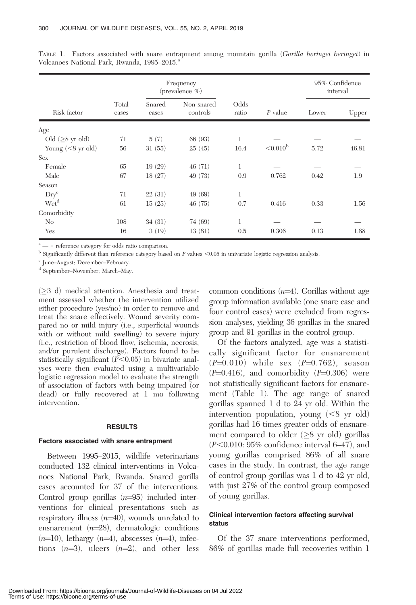| Risk factor           |                | Frequency<br>(prevalence %) |                        |               |                   | 95% Confidence<br>interval |       |
|-----------------------|----------------|-----------------------------|------------------------|---------------|-------------------|----------------------------|-------|
|                       | Total<br>cases | Snared<br>cases             | Non-snared<br>controls | Odds<br>ratio | $P$ value         | Lower                      | Upper |
| Age                   |                |                             |                        |               |                   |                            |       |
| Old $(\geq 8$ yr old) | 71             | 5(7)                        | 66 (93)                | 1             |                   |                            |       |
| Young $(< 8$ yr old)  | 56             | 31(55)                      | 25(45)                 | 16.4          | $< 0.010^{\rm b}$ | 5.72                       | 46.81 |
| Sex                   |                |                             |                        |               |                   |                            |       |
| Female                | 65             | 19(29)                      | 46(71)                 | 1             |                   |                            |       |
| Male                  | 67             | 18(27)                      | 49 (73)                | 0.9           | 0.762             | 0.42                       | 1.9   |
| Season                |                |                             |                        |               |                   |                            |       |
| $\text{Dry}^c$        | 71             | 22(31)                      | 49 (69)                | 1             |                   |                            |       |
| Wet <sup>d</sup>      | 61             | 15(25)                      | 46(75)                 | 0.7           | 0.416             | 0.33                       | 1.56  |
| Comorbidity           |                |                             |                        |               |                   |                            |       |
| N <sub>0</sub>        | 108            | 34(31)                      | 74 (69)                | 1             |                   |                            |       |
| Yes                   | 16             | 3(19)                       | 13(81)                 | 0.5           | 0.306             | 0.13                       | 1.88  |

TABLE 1. Factors associated with snare entrapment among mountain gorilla (Gorilla beringei beringei) in Volcanoes National Park, Rwanda, 1995–2015.<sup>a</sup>

 $a^*$  — = reference category for odds ratio comparison.

 $b$  Significantly different than reference category based on P values <0.05 in univariate logistic regression analysis.

<sup>c</sup> June–August; December–February.

<sup>d</sup> September–November; March–May.

 $(\geq 3$  d) medical attention. Anesthesia and treatment assessed whether the intervention utilized either procedure (yes/no) in order to remove and treat the snare effectively. Wound severity compared no or mild injury (i.e., superficial wounds with or without mild swelling) to severe injury (i.e., restriction of blood flow, ischemia, necrosis, and/or purulent discharge). Factors found to be statistically significant  $(\overline{P} < 0.05)$  in bivariate analyses were then evaluated using a multivariable logistic regression model to evaluate the strength of association of factors with being impaired (or dead) or fully recovered at 1 mo following intervention.

#### RESULTS

#### Factors associated with snare entrapment

Between 1995–2015, wildlife veterinarians conducted 132 clinical interventions in Volcanoes National Park, Rwanda. Snared gorilla cases accounted for 37 of the interventions. Control group gorillas  $(n=95)$  included interventions for clinical presentations such as respiratory illness  $(n=40)$ , wounds unrelated to ensnarement  $(n=28)$ , dermatologic conditions  $(n=10)$ , lethargy  $(n=4)$ , abscesses  $(n=4)$ , infections  $(n=3)$ , ulcers  $(n=2)$ , and other less common conditions  $(n=4)$ . Gorillas without age group information available (one snare case and four control cases) were excluded from regression analyses, yielding 36 gorillas in the snared group and 91 gorillas in the control group.

Of the factors analyzed, age was a statistically significant factor for ensnarement  $(P=0.010)$  while sex  $(P=0.762)$  , season  $(P=0.416)$ , and comorbidity  $(P=0.306)$  were not statistically significant factors for ensnarement (Table 1). The age range of snared gorillas spanned 1 d to 24 yr old. Within the intervention population, young  $(< 8$  yr old) gorillas had 16 times greater odds of ensnarement compared to older  $(\geq 8$  yr old) gorillas  $(P<0.010: 95\%$  confidence interval 6–47), and young gorillas comprised 86% of all snare cases in the study. In contrast, the age range of control group gorillas was 1 d to 42 yr old, with just 27% of the control group composed of young gorillas.

# Clinical intervention factors affecting survival status

Of the 37 snare interventions performed, 86% of gorillas made full recoveries within 1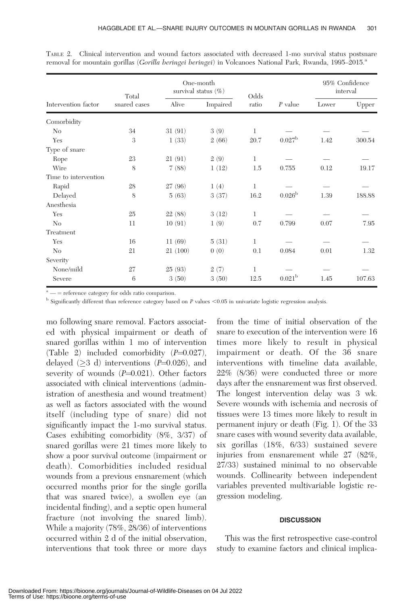| Intervention factor  | Total        | One-month<br>survival status $(\%)$ |          | Odds         |                    | 95% Confidence<br>interval |        |
|----------------------|--------------|-------------------------------------|----------|--------------|--------------------|----------------------------|--------|
|                      | snared cases | Alive                               | Impaired | ratio        | $P$ value          | Lower                      | Upper  |
| Comorbidity          |              |                                     |          |              |                    |                            |        |
| N <sub>0</sub>       | 34           | 31(91)                              | 3(9)     | 1            |                    |                            |        |
| Yes                  | 3            | 1(33)                               | 2(66)    | 20.7         | $0.027^{\rm b}$    | 1.42                       | 300.54 |
| Type of snare        |              |                                     |          |              |                    |                            |        |
| Rope                 | 23           | 21(91)                              | 2(9)     | 1            |                    |                            |        |
| Wire                 | 8            | 7(88)                               | 1(12)    | 1.5          | 0.755              | 0.12                       | 19.17  |
| Time to intervention |              |                                     |          |              |                    |                            |        |
| Rapid                | 28           | 27(96)                              | 1(4)     | 1            |                    |                            |        |
| Delayed              | 8            | 5(63)                               | 3(37)    | 16.2         | 0.026 <sup>b</sup> | 1.39                       | 188.88 |
| Anesthesia           |              |                                     |          |              |                    |                            |        |
| Yes                  | 25           | 22(88)                              | 3(12)    | 1            |                    |                            |        |
| No                   | 11           | 10(91)                              | 1(9)     | 0.7          | 0.799              | 0.07                       | 7.95   |
| Treatment            |              |                                     |          |              |                    |                            |        |
| Yes                  | 16           | 11(69)                              | 5(31)    | $\mathbf{1}$ |                    |                            |        |
| No                   | 21           | 21(100)                             | 0(0)     | 0.1          | 0.084              | 0.01                       | 1.32   |
| Severity             |              |                                     |          |              |                    |                            |        |
| None/mild            | 27           | 25(93)                              | 2(7)     | 1            |                    |                            |        |
| Severe               | 6            | 3(50)                               | 3(50)    | 12.5         | 0.021 <sup>b</sup> | 1.45                       | 107.63 |

TABLE 2. Clinical intervention and wound factors associated with decreased 1-mo survival status postsnare removal for mountain gorillas (Gorilla beringei beringei) in Volcanoes National Park, Rwanda, 1995–2015.<sup>a</sup>

 $a<sup>a</sup>$  — = reference category for odds ratio comparison.

 $<sup>b</sup>$  Significantly different than reference category based on P values <0.05 in univariate logistic regression analysis.</sup>

mo following snare removal. Factors associated with physical impairment or death of snared gorillas within 1 mo of intervention (Table 2) included comorbidity  $(P=0.027)$ , delayed  $(\geq 3$  d) interventions (P=0.026), and severity of wounds  $(P=0.021)$ . Other factors associated with clinical interventions (administration of anesthesia and wound treatment) as well as factors associated with the wound itself (including type of snare) did not significantly impact the 1-mo survival status. Cases exhibiting comorbidity (8%, 3/37) of snared gorillas were 21 times more likely to show a poor survival outcome (impairment or death). Comorbidities included residual wounds from a previous ensnarement (which occurred months prior for the single gorilla that was snared twice), a swollen eye (an incidental finding), and a septic open humeral fracture (not involving the snared limb). While a majority (78%, 28/36) of interventions occurred within 2 d of the initial observation, interventions that took three or more days

from the time of initial observation of the snare to execution of the intervention were 16 times more likely to result in physical impairment or death. Of the 36 snare interventions with timeline data available, 22% (8/36) were conducted three or more days after the ensnarement was first observed. The longest intervention delay was 3 wk. Severe wounds with ischemia and necrosis of tissues were 13 times more likely to result in permanent injury or death (Fig. 1). Of the 33 snare cases with wound severity data available, six gorillas (18%, 6/33) sustained severe injuries from ensnarement while 27 (82%, 27/33) sustained minimal to no observable wounds. Collinearity between independent variables prevented multivariable logistic regression modeling.

# **DISCUSSION**

This was the first retrospective case-control study to examine factors and clinical implica-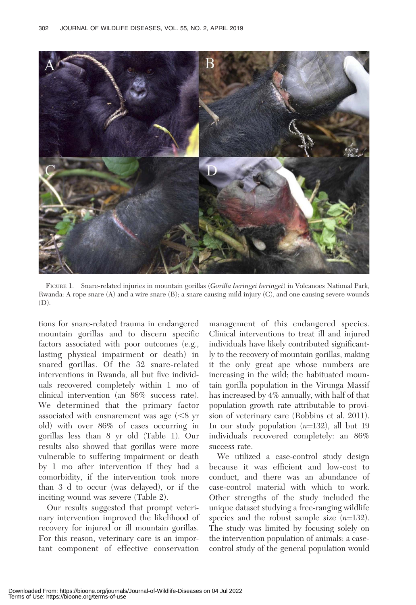

FIGURE 1. Snare-related injuries in mountain gorillas (Gorilla beringei beringei) in Volcanoes National Park, Rwanda: A rope snare (A) and a wire snare (B); a snare causing mild injury (C), and one causing severe wounds  $(D)$ .

tions for snare-related trauma in endangered mountain gorillas and to discern specific factors associated with poor outcomes (e.g., lasting physical impairment or death) in snared gorillas. Of the 32 snare-related interventions in Rwanda, all but five individuals recovered completely within 1 mo of clinical intervention (an 86% success rate). We determined that the primary factor associated with ensnarement was age  $\langle \leq 8 \rangle$ yr old) with over 86% of cases occurring in gorillas less than 8 yr old (Table 1). Our results also showed that gorillas were more vulnerable to suffering impairment or death by 1 mo after intervention if they had a comorbidity, if the intervention took more than 3 d to occur (was delayed), or if the inciting wound was severe (Table 2).

Our results suggested that prompt veterinary intervention improved the likelihood of recovery for injured or ill mountain gorillas. For this reason, veterinary care is an important component of effective conservation

management of this endangered species. Clinical interventions to treat ill and injured individuals have likely contributed significantly to the recovery of mountain gorillas, making it the only great ape whose numbers are increasing in the wild; the habituated mountain gorilla population in the Virunga Massif has increased by 4% annually, with half of that population growth rate attributable to provision of veterinary care (Robbins et al. 2011). In our study population  $(n=132)$ , all but 19 individuals recovered completely: an 86% success rate.

We utilized a case-control study design because it was efficient and low-cost to conduct, and there was an abundance of case-control material with which to work. Other strengths of the study included the unique dataset studying a free-ranging wildlife species and the robust sample size  $(n=132)$ . The study was limited by focusing solely on the intervention population of animals: a casecontrol study of the general population would